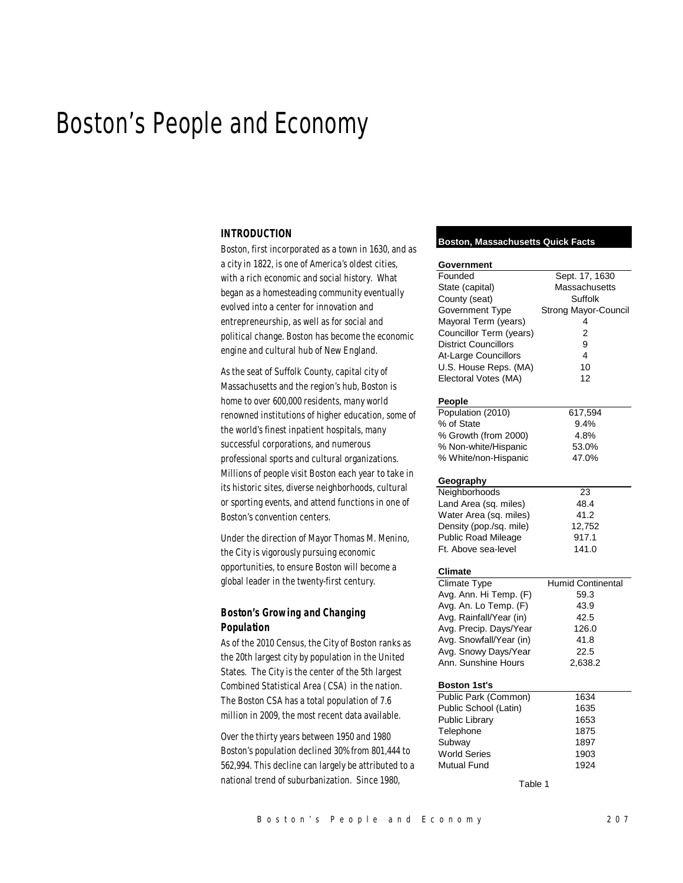# Boston's People and Economy

#### *INTRODUCTION*

Boston, first incorporated as a town in 1630, and as a city in 1822, is one of America's oldest cities, with a rich economic and social history. What began as a homesteading community eventually evolved into a center for innovation and entrepreneurship, as well as for social and political change. Boston has become the economic engine and cultural hub of New England.

As the seat of Suffolk County, capital city of Massachusetts and the region's hub, Boston is home to over 600,000 residents, many world renowned institutions of higher education, some of the world's finest inpatient hospitals, many successful corporations, and numerous professional sports and cultural organizations. Millions of people visit Boston each year to take in its historic sites, diverse neighborhoods, cultural or sporting events, and attend functions in one of Boston's convention centers.

Under the direction of Mayor Thomas M. Menino, the City is vigorously pursuing economic opportunities, to ensure Boston will become a global leader in the twenty-first century.

# *Boston's Growing and Changing Population*

As of the 2010 Census, the City of Boston ranks as the 20th largest city by population in the United States. The City is the center of the 5th largest Combined Statistical Area (CSA) in the nation. The Boston CSA has a total population of 7.6 million in 2009, the most recent data available.

Over the thirty years between 1950 and 1980 Boston's population declined 30% from 801,444 to 562,994. This decline can largely be attributed to a national trend of suburbanization. Since 1980,

#### **Boston, Massachusetts Quick Facts**

| Government                  |                          |  |  |  |  |  |
|-----------------------------|--------------------------|--|--|--|--|--|
| Founded                     | Sept. 17, 1630           |  |  |  |  |  |
| State (capital)             | Massachusetts            |  |  |  |  |  |
| County (seat)               | Suffolk                  |  |  |  |  |  |
| Government Type             | Strong Mayor-Council     |  |  |  |  |  |
| Mayoral Term (years)        | 4                        |  |  |  |  |  |
| Councillor Term (years)     | $\overline{2}$           |  |  |  |  |  |
| <b>District Councillors</b> | 9                        |  |  |  |  |  |
| At-Large Councillors        | $\overline{\mathbf{4}}$  |  |  |  |  |  |
| U.S. House Reps. (MA)       | 10                       |  |  |  |  |  |
| Electoral Votes (MA)        | 12                       |  |  |  |  |  |
| People                      |                          |  |  |  |  |  |
| Population (2010)           | 617,594                  |  |  |  |  |  |
| % of State                  | 9.4%                     |  |  |  |  |  |
| % Growth (from 2000)        | 4.8%                     |  |  |  |  |  |
| % Non-white/Hispanic        | 53.0%                    |  |  |  |  |  |
| % White/non-Hispanic        | 47.0%                    |  |  |  |  |  |
|                             |                          |  |  |  |  |  |
| Geography                   |                          |  |  |  |  |  |
| Neighborhoods               | 23                       |  |  |  |  |  |
| Land Area (sq. miles)       | 48.4                     |  |  |  |  |  |
| Water Area (sq. miles)      | 41.2                     |  |  |  |  |  |
| Density (pop./sq. mile)     | 12,752                   |  |  |  |  |  |
| <b>Public Road Mileage</b>  | 917.1                    |  |  |  |  |  |
| Ft. Above sea-level         | 141.0                    |  |  |  |  |  |
| Climate                     |                          |  |  |  |  |  |
| <b>Climate Type</b>         | <b>Humid Continental</b> |  |  |  |  |  |
| Avg. Ann. Hi Temp. (F)      | 59.3                     |  |  |  |  |  |
| Avg. An. Lo Temp. (F)       | 43.9                     |  |  |  |  |  |
| Avg. Rainfall/Year (in)     | 42.5                     |  |  |  |  |  |
| Avg. Precip. Days/Year      | 126.0                    |  |  |  |  |  |
| Avg. Snowfall/Year (in)     | 41.8                     |  |  |  |  |  |
| Avg. Snowy Days/Year        | 22.5                     |  |  |  |  |  |
| Ann. Sunshine Hours         | 2,638.2                  |  |  |  |  |  |
|                             |                          |  |  |  |  |  |
| <b>Boston 1st's</b>         |                          |  |  |  |  |  |
| Public Park (Common)        | 1634                     |  |  |  |  |  |
| Public School (Latin)       | 1635                     |  |  |  |  |  |
| <b>Public Library</b>       | 1653                     |  |  |  |  |  |
| Telephone                   | 1875                     |  |  |  |  |  |
| Subway                      | 1897                     |  |  |  |  |  |
| <b>World Series</b>         | 1903                     |  |  |  |  |  |
| Mutual Fund                 | 1924                     |  |  |  |  |  |
| Table 1                     |                          |  |  |  |  |  |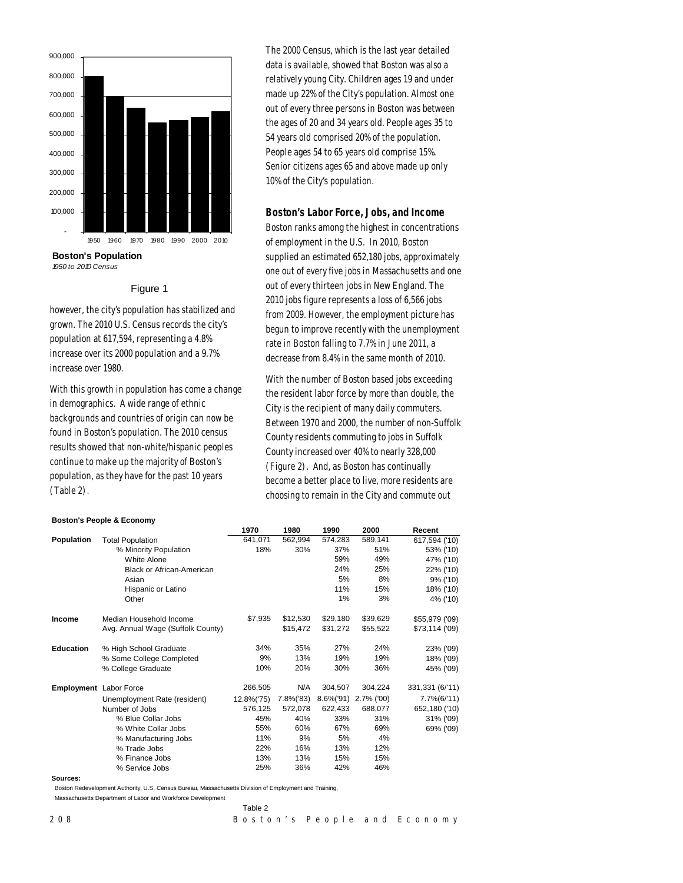

**Boston's Population** *1950 to 2010 Census*

## Figure 1

however, the city's population has stabilized and grown. The 2010 U.S. Census records the city's population at 617,594, representing a 4.8% increase over its 2000 population and a 9.7% increase over 1980.

With this growth in population has come a change in demographics. A wide range of ethnic backgrounds and countries of origin can now be found in Boston's population. The 2010 census results showed that non-white/hispanic peoples continue to make up the majority of Boston's population, as they have for the past 10 years (Table 2).

**Boston's People & Economy**

The 2000 Census, which is the last year detailed data is available, showed that Boston was also a relatively young City. Children ages 19 and under made up 22% of the City's population. Almost one out of every three persons in Boston was between the ages of 20 and 34 years old. People ages 35 to 54 years old comprised 20% of the population. People ages 54 to 65 years old comprise 15%. Senior citizens ages 65 and above made up only 10% of the City's population.

## *Boston's Labor Force, Jobs, and Income*

Boston ranks among the highest in concentrations of employment in the U.S. In 2010, Boston supplied an estimated 652,180 jobs, approximately one out of every five jobs in Massachusetts and one out of every thirteen jobs in New England. The 2010 jobs figure represents a loss of 6,566 jobs from 2009. However, the employment picture has begun to improve recently with the unemployment rate in Boston falling to 7.7% in June 2011, a decrease from 8.4% in the same month of 2010.

With the number of Boston based jobs exceeding the resident labor force by more than double, the City is the recipient of many daily commuters. Between 1970 and 2000, the number of non-Suffolk County residents commuting to jobs in Suffolk County increased over 40% to nearly 328,000 (Figure 2). And, as Boston has continually become a better place to live, more residents are choosing to remain in the City and commute out

|                               |                                   | 1970       | 1980      | 1990          | 2000       | Recent          |
|-------------------------------|-----------------------------------|------------|-----------|---------------|------------|-----------------|
| Population                    | <b>Total Population</b>           | 641,071    | 562,994   | 574,283       | 589,141    | 617,594 ('10)   |
|                               | % Minority Population             | 18%        | 30%       | 37%           | 51%        | 53% ('10)       |
|                               | <b>White Alone</b>                |            |           | 59%           | 49%        | 47% ('10)       |
|                               | <b>Black or African-American</b>  |            |           | 24%           | 25%        | 22% ('10)       |
|                               | Asian                             |            |           | 5%            | 8%         | 9% ('10)        |
|                               | Hispanic or Latino                |            |           | 11%           | 15%        | 18% ('10)       |
|                               | Other                             |            |           | 1%            | 3%         | 4% ('10)        |
| <b>Income</b>                 | Median Household Income           | \$7,935    | \$12,530  | \$29,180      | \$39,629   | \$55,979 ('09)  |
|                               | Avg. Annual Wage (Suffolk County) |            | \$15,472  | \$31,272      | \$55,522   | \$73,114 ('09)  |
| <b>Education</b>              | % High School Graduate            | 34%        | 35%       | 27%           | 24%        | 23% ('09)       |
|                               | % Some College Completed          | 9%         | 13%       | 19%           | 19%        | 18% ('09)       |
|                               | % College Graduate                | 10%        | 20%       | 30%           | 36%        | 45% ('09)       |
| <b>Employment</b> Labor Force |                                   | 266,505    | N/A       | 304,507       | 304,224    | 331,331 (6/'11) |
|                               | Unemployment Rate (resident)      | 12.8%('75) | 7.8%('83) | $8.6\%$ ('91) | 2.7% ('00) | 7.7%(6/'11)     |
|                               | Number of Jobs                    | 576,125    | 572,078   | 622,433       | 688,077    | 652,180 ('10)   |
|                               | % Blue Collar Jobs                | 45%        | 40%       | 33%           | 31%        | 31% ('09)       |
|                               | % White Collar Jobs               | 55%        | 60%       | 67%           | 69%        | 69% ('09)       |
|                               | % Manufacturing Jobs              | 11%        | 9%        | 5%            | 4%         |                 |
|                               | % Trade Jobs                      | 22%        | 16%       | 13%           | 12%        |                 |
|                               | % Finance Jobs                    | 13%        | 13%       | 15%           | 15%        |                 |
|                               | % Service Jobs                    | 25%        | 36%       | 42%           | 46%        |                 |
| Sources:                      |                                   |            |           |               |            |                 |

Table 2

Boston Redevelopment Authority, U.S. Census Bureau, Massachusetts Division of Employment and Training,

Massachusetts Department of Labor and Workforce Development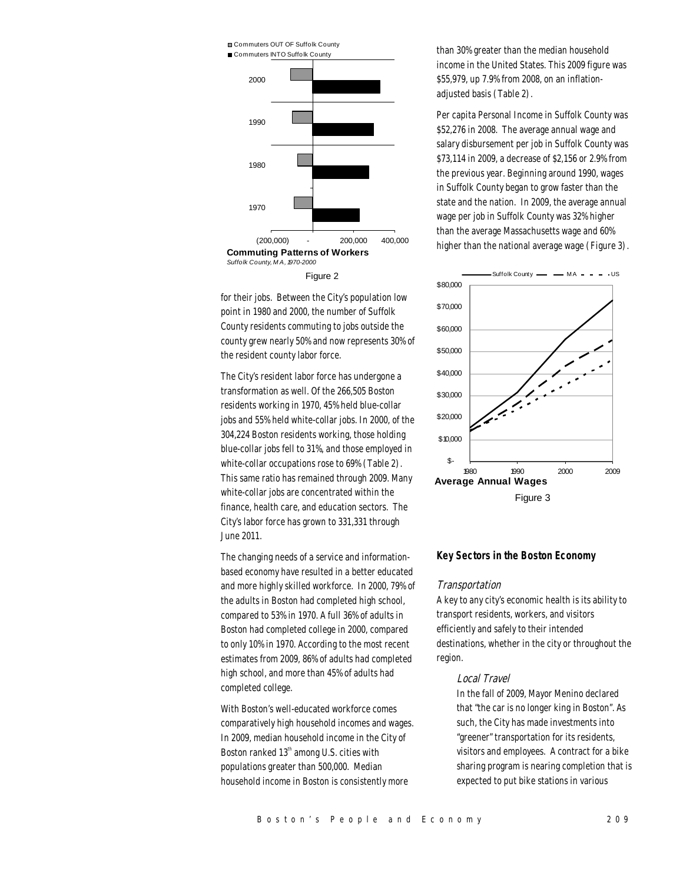

Figure 2

for their jobs. Between the City's population low point in 1980 and 2000, the number of Suffolk County residents commuting to jobs outside the county grew nearly 50% and now represents 30% of the resident county labor force.

The City's resident labor force has undergone a transformation as well. Of the 266,505 Boston residents working in 1970, 45% held blue-collar jobs and 55% held white-collar jobs. In 2000, of the 304,224 Boston residents working, those holding blue-collar jobs fell to 31%, and those employed in white-collar occupations rose to 69% (Table 2). This same ratio has remained through 2009. Many white-collar jobs are concentrated within the finance, health care, and education sectors. The City's labor force has grown to 331,331 through June 2011.

The changing needs of a service and informationbased economy have resulted in a better educated and more highly skilled workforce. In 2000, 79% of the adults in Boston had completed high school, compared to 53% in 1970. A full 36% of adults in Boston had completed college in 2000, compared to only 10% in 1970. According to the most recent estimates from 2009, 86% of adults had completed high school, and more than 45% of adults had completed college.

With Boston's well-educated workforce comes comparatively high household incomes and wages. In 2009, median household income in the City of Boston ranked 13<sup>th</sup> among U.S. cities with populations greater than 500,000. Median household income in Boston is consistently more

than 30% greater than the median household income in the United States. This 2009 figure was \$55,979, up 7.9% from 2008, on an inflationadjusted basis (Table 2).

Per capita Personal Income in Suffolk County was \$52,276 in 2008. The average annual wage and salary disbursement per job in Suffolk County was \$73,114 in 2009, a decrease of \$2,156 or 2.9% from the previous year. Beginning around 1990, wages in Suffolk County began to grow faster than the state and the nation. In 2009, the average annual wage per job in Suffolk County was 32% higher than the average Massachusetts wage and 60% higher than the national average wage (Figure 3).



## *Key Sectors in the Boston Economy*

#### Transportation

A key to any city's economic health is its ability to transport residents, workers, and visitors efficiently and safely to their intended destinations, whether in the city or throughout the region.

## Local Travel

In the fall of 2009, Mayor Menino declared that "the car is no longer king in Boston". As such, the City has made investments into "greener" transportation for its residents, visitors and employees. A contract for a bike sharing program is nearing completion that is expected to put bike stations in various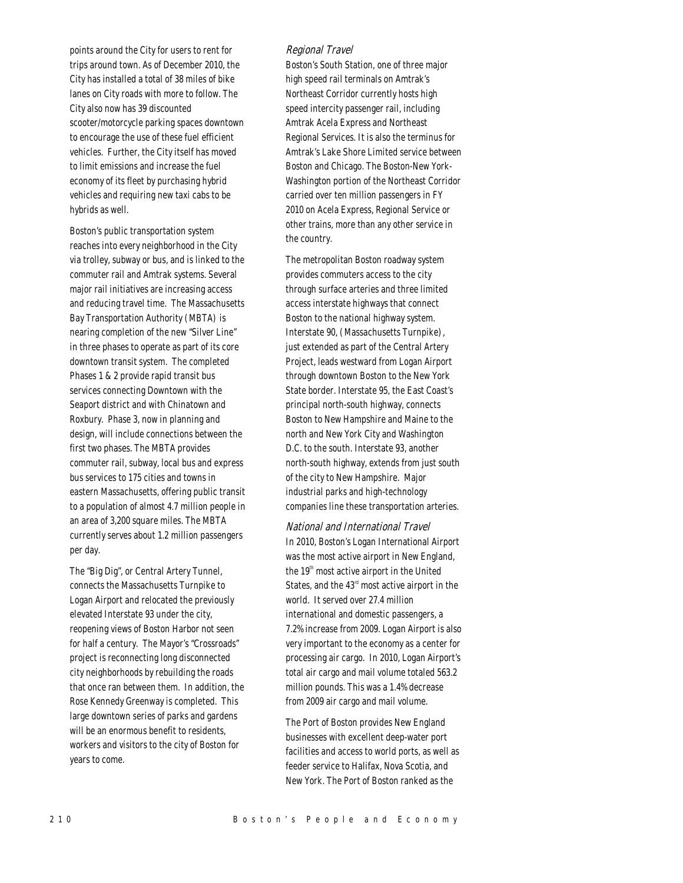points around the City for users to rent for trips around town. As of December 2010, the City has installed a total of 38 miles of bike lanes on City roads with more to follow. The City also now has 39 discounted scooter/motorcycle parking spaces downtown to encourage the use of these fuel efficient vehicles. Further, the City itself has moved to limit emissions and increase the fuel economy of its fleet by purchasing hybrid vehicles and requiring new taxi cabs to be hybrids as well.

Boston's public transportation system reaches into every neighborhood in the City via trolley, subway or bus, and is linked to the commuter rail and Amtrak systems. Several major rail initiatives are increasing access and reducing travel time. The Massachusetts Bay Transportation Authority (MBTA) is nearing completion of the new "Silver Line" in three phases to operate as part of its core downtown transit system. The completed Phases 1 & 2 provide rapid transit bus services connecting Downtown with the Seaport district and with Chinatown and Roxbury. Phase 3, now in planning and design, will include connections between the first two phases. The MBTA provides commuter rail, subway, local bus and express bus services to 175 cities and towns in eastern Massachusetts, offering public transit to a population of almost 4.7 million people in an area of 3,200 square miles. The MBTA currently serves about 1.2 million passengers per day.

The "Big Dig", or Central Artery Tunnel, connects the Massachusetts Turnpike to Logan Airport and relocated the previously elevated Interstate 93 under the city, reopening views of Boston Harbor not seen for half a century. The Mayor's "Crossroads" project is reconnecting long disconnected city neighborhoods by rebuilding the roads that once ran between them. In addition, the Rose Kennedy Greenway is completed. This large downtown series of parks and gardens will be an enormous benefit to residents, workers and visitors to the city of Boston for years to come.

## Regional Travel

Boston's South Station, one of three major high speed rail terminals on Amtrak's Northeast Corridor currently hosts high speed intercity passenger rail, including Amtrak Acela Express and Northeast Regional Services. It is also the terminus for Amtrak's Lake Shore Limited service between Boston and Chicago. The Boston-New York-Washington portion of the Northeast Corridor carried over ten million passengers in FY 2010 on Acela Express, Regional Service or other trains, more than any other service in the country.

The metropolitan Boston roadway system provides commuters access to the city through surface arteries and three limited access interstate highways that connect Boston to the national highway system. Interstate 90, (Massachusetts Turnpike), just extended as part of the Central Artery Project, leads westward from Logan Airport through downtown Boston to the New York State border. Interstate 95, the East Coast's principal north-south highway, connects Boston to New Hampshire and Maine to the north and New York City and Washington D.C. to the south. Interstate 93, another north-south highway, extends from just south of the city to New Hampshire. Major industrial parks and high-technology companies line these transportation arteries.

National and International Travel In 2010, Boston's Logan International Airport was the most active airport in New England, the 19<sup>th</sup> most active airport in the United States, and the  $43<sup>rd</sup>$  most active airport in the world. It served over 27.4 million international and domestic passengers, a 7.2% increase from 2009. Logan Airport is also very important to the economy as a center for processing air cargo. In 2010, Logan Airport's total air cargo and mail volume totaled 563.2 million pounds. This was a 1.4% decrease from 2009 air cargo and mail volume.

The Port of Boston provides New England businesses with excellent deep-water port facilities and access to world ports, as well as feeder service to Halifax, Nova Scotia, and New York. The Port of Boston ranked as the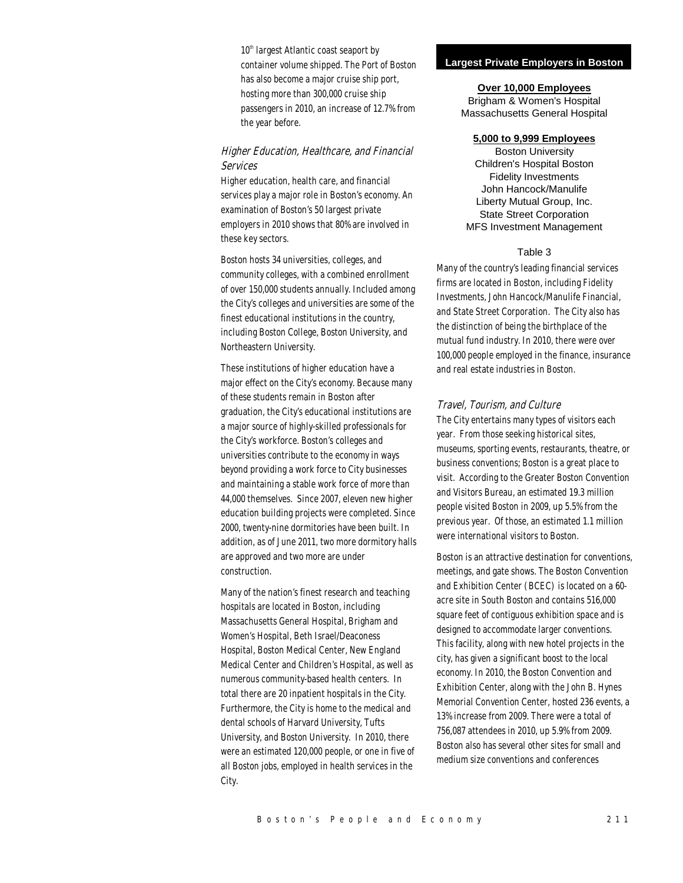$10<sup>th</sup>$  largest Atlantic coast seaport by container volume shipped. The Port of Boston has also become a major cruise ship port, hosting more than 300,000 cruise ship passengers in 2010, an increase of 12.7% from the year before.

# Higher Education, Healthcare, and Financial Services

Higher education, health care, and financial services play a major role in Boston's economy. An examination of Boston's 50 largest private employers in 2010 shows that 80% are involved in these key sectors.

Boston hosts 34 universities, colleges, and community colleges, with a combined enrollment of over 150,000 students annually. Included among the City's colleges and universities are some of the finest educational institutions in the country, including Boston College, Boston University, and Northeastern University.

These institutions of higher education have a major effect on the City's economy. Because many of these students remain in Boston after graduation, the City's educational institutions are a major source of highly-skilled professionals for the City's workforce. Boston's colleges and universities contribute to the economy in ways beyond providing a work force to City businesses and maintaining a stable work force of more than 44,000 themselves. Since 2007, eleven new higher education building projects were completed. Since 2000, twenty-nine dormitories have been built. In addition, as of June 2011, two more dormitory halls are approved and two more are under construction.

Many of the nation's finest research and teaching hospitals are located in Boston, including Massachusetts General Hospital, Brigham and Women's Hospital, Beth Israel/Deaconess Hospital, Boston Medical Center, New England Medical Center and Children's Hospital, as well as numerous community-based health centers. In total there are 20 inpatient hospitals in the City. Furthermore, the City is home to the medical and dental schools of Harvard University, Tufts University, and Boston University. In 2010, there were an estimated 120,000 people, or one in five of all Boston jobs, employed in health services in the City.

#### **Largest Private Employers in Boston**

#### **Over 10,000 Employees**

Brigham & Women's Hospital Massachusetts General Hospital

## **5,000 to 9,999 Employees**

Boston University Children's Hospital Boston Fidelity Investments John Hancock/Manulife Liberty Mutual Group, Inc. State Street Corporation MFS Investment Management

#### Table 3

Many of the country's leading financial services firms are located in Boston, including Fidelity Investments, John Hancock/Manulife Financial, and State Street Corporation. The City also has the distinction of being the birthplace of the mutual fund industry. In 2010, there were over 100,000 people employed in the finance, insurance and real estate industries in Boston.

#### Travel, Tourism, and Culture

The City entertains many types of visitors each year. From those seeking historical sites, museums, sporting events, restaurants, theatre, or business conventions; Boston is a great place to visit. According to the Greater Boston Convention and Visitors Bureau, an estimated 19.3 million people visited Boston in 2009, up 5.5% from the previous year. Of those, an estimated 1.1 million were international visitors to Boston.

Boston is an attractive destination for conventions, meetings, and gate shows. The Boston Convention and Exhibition Center (BCEC) is located on a 60 acre site in South Boston and contains 516,000 square feet of contiguous exhibition space and is designed to accommodate larger conventions. This facility, along with new hotel projects in the city, has given a significant boost to the local economy. In 2010, the Boston Convention and Exhibition Center, along with the John B. Hynes Memorial Convention Center, hosted 236 events, a 13% increase from 2009. There were a total of 756,087 attendees in 2010, up 5.9% from 2009. Boston also has several other sites for small and medium size conventions and conferences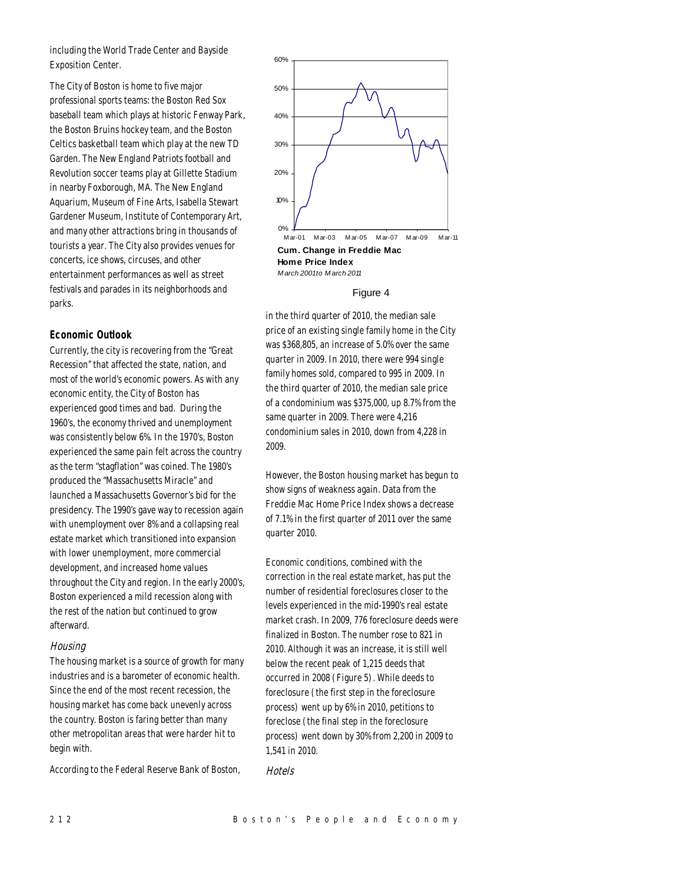including the World Trade Center and Bayside Exposition Center.

The City of Boston is home to five major professional sports teams: the Boston Red Sox baseball team which plays at historic Fenway Park, the Boston Bruins hockey team, and the Boston Celtics basketball team which play at the new TD Garden. The New England Patriots football and Revolution soccer teams play at Gillette Stadium in nearby Foxborough, MA. The New England Aquarium, Museum of Fine Arts, Isabella Stewart Gardener Museum, Institute of Contemporary Art, and many other attractions bring in thousands of tourists a year. The City also provides venues for concerts, ice shows, circuses, and other entertainment performances as well as street festivals and parades in its neighborhoods and parks.

## *Economic Outlook*

Currently, the city is recovering from the "Great Recession" that affected the state, nation, and most of the world's economic powers. As with any economic entity, the City of Boston has experienced good times and bad. During the 1960's, the economy thrived and unemployment was consistently below 6%. In the 1970's, Boston experienced the same pain felt across the country as the term "stagflation" was coined. The 1980's produced the "Massachusetts Miracle" and launched a Massachusetts Governor's bid for the presidency. The 1990's gave way to recession again with unemployment over 8% and a collapsing real estate market which transitioned into expansion with lower unemployment, more commercial development, and increased home values throughout the City and region. In the early 2000's, Boston experienced a mild recession along with the rest of the nation but continued to grow afterward.

#### Housing

The housing market is a source of growth for many industries and is a barometer of economic health. Since the end of the most recent recession, the housing market has come back unevenly across the country. Boston is faring better than many other metropolitan areas that were harder hit to begin with.

According to the Federal Reserve Bank of Boston,



## Figure 4

in the third quarter of 2010, the median sale price of an existing single family home in the City was \$368,805, an increase of 5.0% over the same quarter in 2009. In 2010, there were 994 single family homes sold, compared to 995 in 2009. In the third quarter of 2010, the median sale price of a condominium was \$375,000, up 8.7% from the same quarter in 2009. There were 4,216 condominium sales in 2010, down from 4,228 in 2009.

However, the Boston housing market has begun to show signs of weakness again. Data from the Freddie Mac Home Price Index shows a decrease of 7.1% in the first quarter of 2011 over the same quarter 2010.

Economic conditions, combined with the correction in the real estate market, has put the number of residential foreclosures closer to the levels experienced in the mid-1990's real estate market crash. In 2009, 776 foreclosure deeds were finalized in Boston. The number rose to 821 in 2010. Although it was an increase, it is still well below the recent peak of 1,215 deeds that occurred in 2008 (Figure 5). While deeds to foreclosure (the first step in the foreclosure process) went up by 6% in 2010, petitions to foreclose (the final step in the foreclosure process) went down by 30% from 2,200 in 2009 to 1,541 in 2010.

**Hotels**